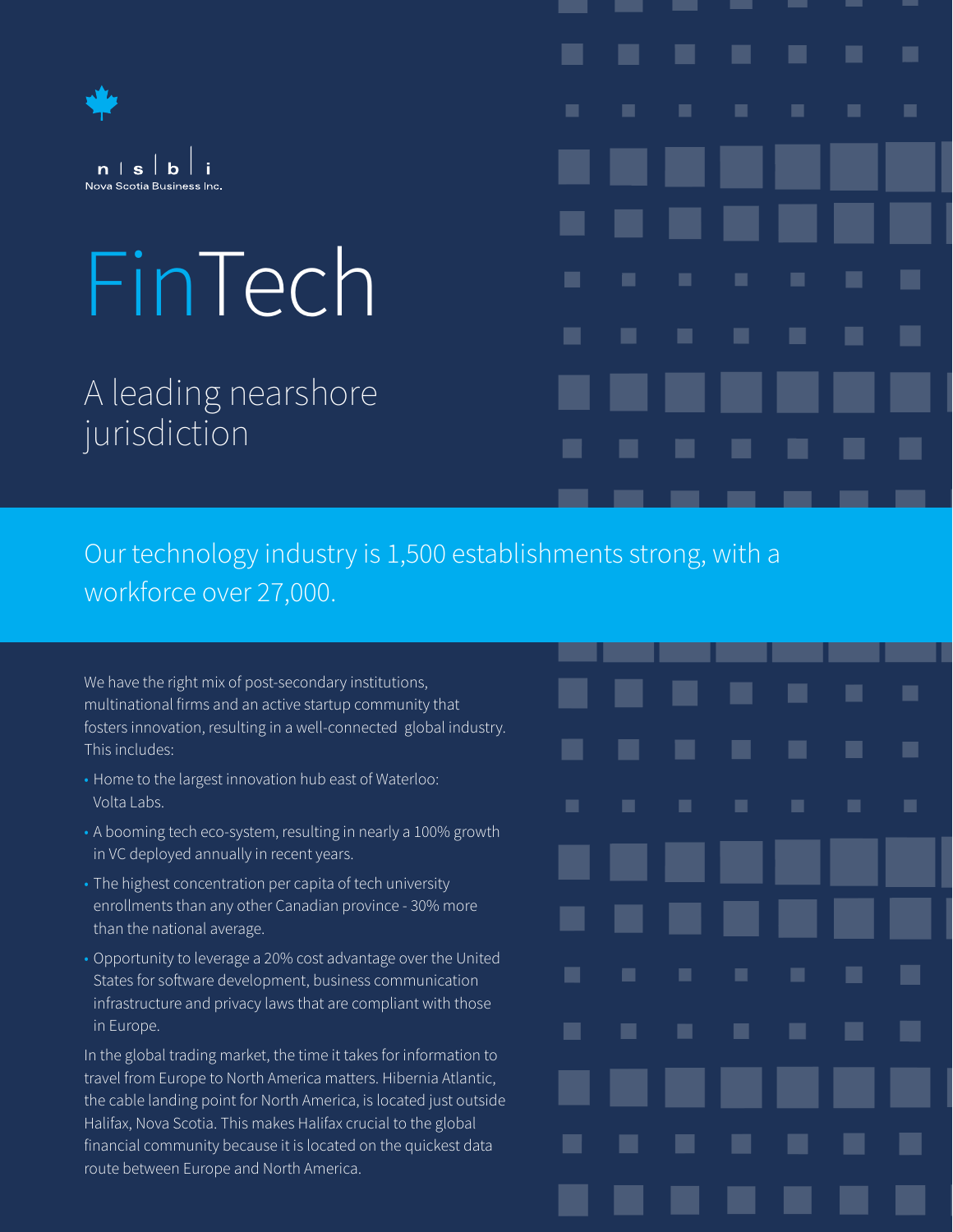

# FinTech

A leading nearshore jurisdiction

## ш ш ٠ 肩 ۰ ш ٠ ٠ ٠ ш п ■

٠

■

٠

٠

٠

Our technology industry is 1,500 establishments strong, with a workforce over 27,000.

ш

ш.

٠

 $\blacksquare$ 

ш

ш

ш

ш

We have the right mix of post-secondary institutions, multinational firms and an active startup community that fosters innovation, resulting in a well-connected global industry. This includes:

- Home to the largest innovation hub east of Waterloo: Volta Labs.
- A booming tech eco-system, resulting in nearly a 100% growth in VC deployed annually in recent years.
- The highest concentration per capita of tech university enrollments than any other Canadian province - 30% more than the national average.
- Opportunity to leverage a 20% cost advantage over the United States for software development, business communication infrastructure and privacy laws that are compliant with those in Europe.

In the global trading market, the time it takes for information to travel from Europe to North America matters. Hibernia Atlantic, the cable landing point for North America, is located just outside Halifax, Nova Scotia. This makes Halifax crucial to the global financial community because it is located on the quickest data route between Europe and North America.